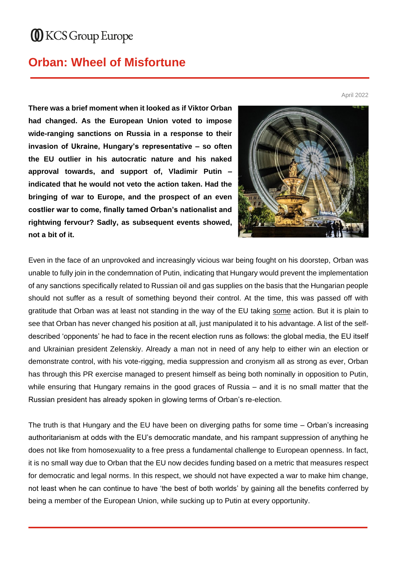## **ID** KCS Group Europe

## **Orban: Wheel of Misfortune**

April 2022

**There was a brief moment when it looked as if Viktor Orban had changed. As the European Union voted to impose wide-ranging sanctions on Russia in a response to their invasion of Ukraine, Hungary's representative – so often the EU outlier in his autocratic nature and his naked approval towards, and support of, Vladimir Putin – indicated that he would not veto the action taken. Had the bringing of war to Europe, and the prospect of an even costlier war to come, finally tamed Orban's nationalist and rightwing fervour? Sadly, as subsequent events showed, not a bit of it.** 



Even in the face of an unprovoked and increasingly vicious war being fought on his doorstep, Orban was unable to fully join in the condemnation of Putin, indicating that Hungary would prevent the implementation of any sanctions specifically related to Russian oil and gas supplies on the basis that the Hungarian people should not suffer as a result of something beyond their control. At the time, this was passed off with gratitude that Orban was at least not standing in the way of the EU taking some action. But it is plain to see that Orban has never changed his position at all, just manipulated it to his advantage. A list of the selfdescribed 'opponents' he had to face in the recent election runs as follows: the global media, the EU itself and Ukrainian president Zelenskiy. Already a man not in need of any help to either win an election or demonstrate control, with his vote-rigging, media suppression and cronyism all as strong as ever, Orban has through this PR exercise managed to present himself as being both nominally in opposition to Putin, while ensuring that Hungary remains in the good graces of Russia – and it is no small matter that the Russian president has already spoken in glowing terms of Orban's re-election.

The truth is that Hungary and the EU have been on diverging paths for some time – Orban's increasing authoritarianism at odds with the EU's democratic mandate, and his rampant suppression of anything he does not like from homosexuality to a free press a fundamental challenge to European openness. In fact, it is no small way due to Orban that the EU now decides funding based on a metric that measures respect for democratic and legal norms. In this respect, we should not have expected a war to make him change, not least when he can continue to have 'the best of both worlds' by gaining all the benefits conferred by being a member of the European Union, while sucking up to Putin at every opportunity.